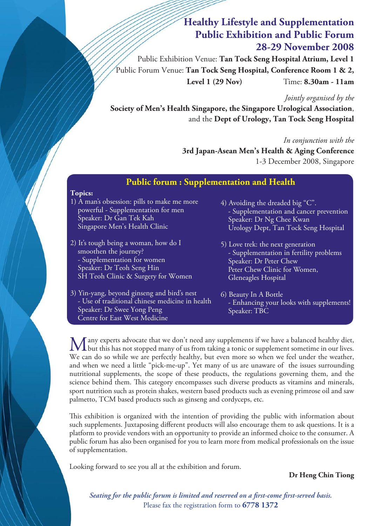# **Healthy Lifestyle and Supplementation Public Exhibition and Public Forum 28-29 November 2008**

Public Exhibition Venue: **Tan Tock Seng Hospital Atrium, Level 1** Public Forum Venue: **Tan Tock Seng Hospital, Conference Room 1 & 2, Level 1 (29 Nov)** Time: **8.30am - 11am**

*Jointly organised by the* 

**Society of Men's Health Singapore, the Singapore Urological Association**, and the **Dept of Urology, Tan Tock Seng Hospital**

*In conjunction with the* 

**3rd Japan-Asean Men's Health & Aging Conference**  1-3 December 2008, Singapore

## **Public forum : Supplementation and Health**

### **Topics:**

- 1) A man's obsession: pills to make me more powerful - Supplementation for men Speaker: Dr Gan Tek Kah Singapore Men's Health Clinic
- 2) It's tough being a woman, how do I smoothen the journey? - Supplementation for women Speaker: Dr Teoh Seng Hin SH Teoh Clinic & Surgery for Women
- 3) Yin-yang, beyond ginseng and bird's nest - Use of traditional chinese medicine in health Speaker: Dr Swee Yong Peng Centre for East West Medicine
- 4) Avoiding the dreaded big "C". - Supplementation and cancer prevention Speaker: Dr Ng Chee Kwan Urology Dept, Tan Tock Seng Hospital
- 5) Love trek: the next generation - Supplementation in fertility problems Speaker: Dr Peter Chew Peter Chew Clinic for Women, Gleneagles Hospital
- 6) Beauty In A Bottle - Enhancing your looks with supplements! Speaker: TBC

Many experts advocate that we don't need any supplements if we have a balanced healthy diet,<br>but this has not stopped many of us from taking a tonic or supplement sometime in our lives. We can do so while we are perfectly healthy, but even more so when we feel under the weather, and when we need a little "pick-me-up". Yet many of us are unaware of the issues surrounding nutritional supplements, the scope of these products, the regulations governing them, and the science behind them. This category encompasses such diverse products as vitamins and minerals, sport nutrition such as protein shakes, western based products such as evening primrose oil and saw palmetto, TCM based products such as ginseng and cordyceps, etc.

This exhibition is organized with the intention of providing the public with information about such supplements. Juxtaposing different products will also encourage them to ask questions. It is a platform to provide vendors with an opportunity to provide an informed choice to the consumer. A public forum has also been organised for you to learn more from medical professionals on the issue of supplementation.

Looking forward to see you all at the exhibition and forum.

**Dr Heng Chin Tiong**

Seating for the public forum is limited and reserved on a first-come first-served basis. Please fax the registration form to **6778 1372**